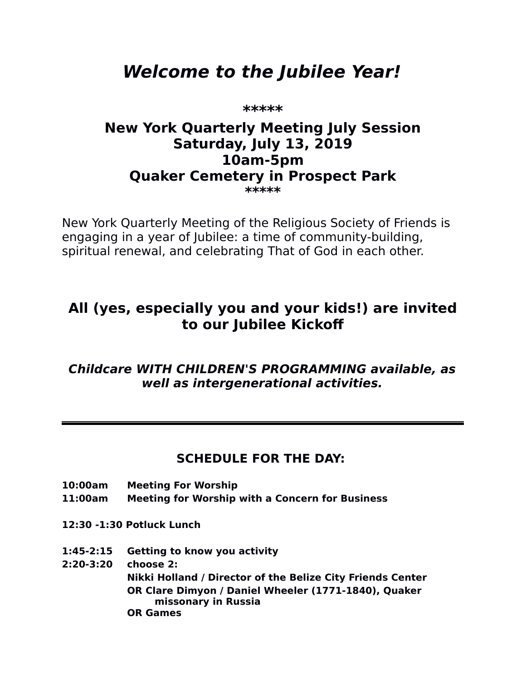# **Welcome to the Jubilee Year!**

**\*\*\*\*\***

### **New York Quarterly Meeting July Session Saturday, July 13, 2019 10am-5pm Quaker Cemetery in Prospect Park \*\*\*\*\***

New York Quarterly Meeting of the Religious Society of Friends is engaging in a year of Jubilee: a time of community-building, spiritual renewal, and celebrating That of God in each other.

## **All (yes, especially you and your kids!) are invited to our Jubilee Kickof**

**Childcare WITH CHILDREN'S PROGRAMMING available, as well as intergenerational activities.**

## **SCHEDULE FOR THE DAY:**

- **10:00am Meeting For Worship**
- **11:00am Meeting for Worship with a Concern for Business**
- **12:30 -1:30 Potluck Lunch**
- **1:45-2:15 Getting to know you activity**
- **2:20-3:20 choose 2:**

 **Nikki Holland / Director of the Belize City Friends Center OR Clare Dimyon / Daniel Wheeler (1771-1840), Quaker missonary in Russia OR Games**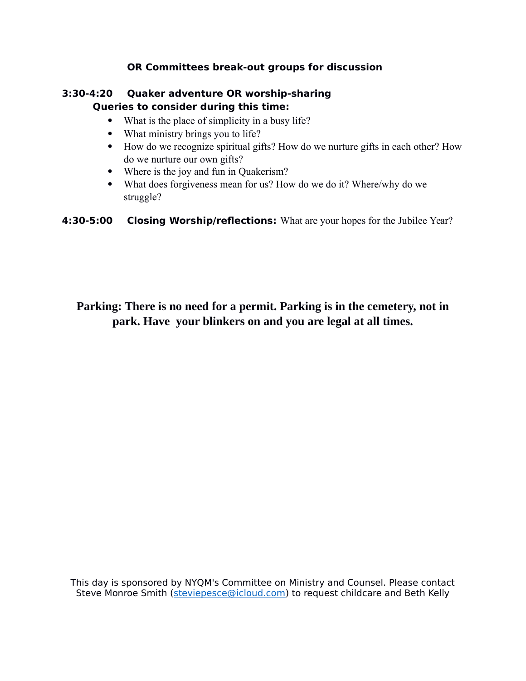#### **OR Committees break-out groups for discussion**

#### **3:30-4:20 Quaker adventure OR worship-sharing Queries to consider during this time:**

- What is the place of simplicity in a busy life?
- What ministry brings you to life?
- How do we recognize spiritual gifts? How do we nurture gifts in each other? How do we nurture our own gifts?
- Where is the joy and fun in Quakerism?
- What does forgiveness mean for us? How do we do it? Where/why do we struggle?

**4:30-5:00 Closing Worship/reflections:** What are your hopes for the Jubilee Year?

#### **Parking: There is no need for a permit. Parking is in the cemetery, not in park. Have your blinkers on and you are legal at all times.**

This day is sponsored by NYQM's Committee on Ministry and Counsel. Please contact Steve Monroe Smith [\(steviepesce@icloud.com\)](mailto:steviepesce@icloud.com) to request childcare and Beth Kelly